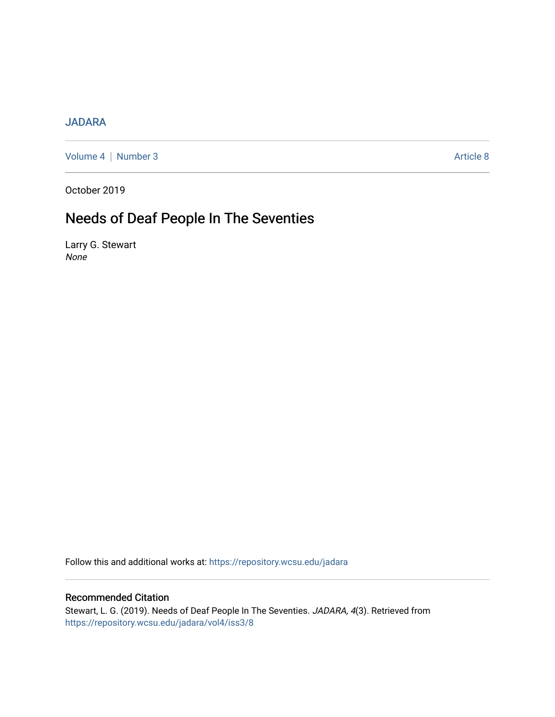# [JADARA](https://repository.wcsu.edu/jadara)

[Volume 4](https://repository.wcsu.edu/jadara/vol4) | [Number 3](https://repository.wcsu.edu/jadara/vol4/iss3) Article 8

October 2019

# Needs of Deaf People In The Seventies

Larry G. Stewart None

Follow this and additional works at: [https://repository.wcsu.edu/jadara](https://repository.wcsu.edu/jadara?utm_source=repository.wcsu.edu%2Fjadara%2Fvol4%2Fiss3%2F8&utm_medium=PDF&utm_campaign=PDFCoverPages)

# Recommended Citation

Stewart, L. G. (2019). Needs of Deaf People In The Seventies. JADARA, 4(3). Retrieved from [https://repository.wcsu.edu/jadara/vol4/iss3/8](https://repository.wcsu.edu/jadara/vol4/iss3/8?utm_source=repository.wcsu.edu%2Fjadara%2Fvol4%2Fiss3%2F8&utm_medium=PDF&utm_campaign=PDFCoverPages)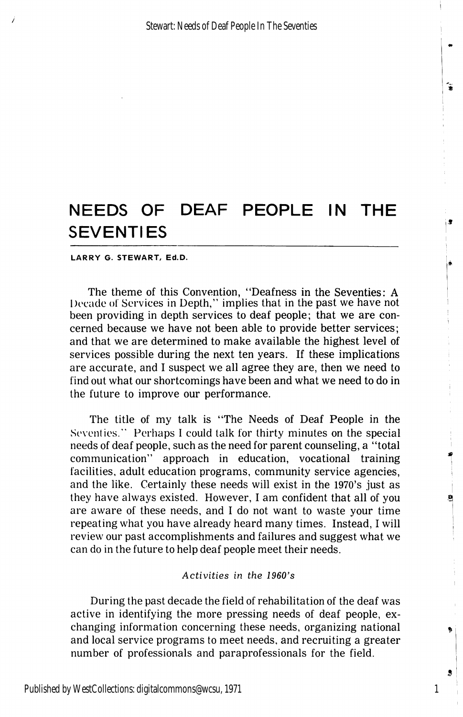#### LARRY G. STEWART, Ed.D.

The theme of this Convention, "Deafness in the Seventies: A Decade of Services in Depth," implies that in the past we have not been providing in depth services to deaf people; that we are con cerned because we have not been able to provide better services; and that we are determined to make available the highest level of services possible during the next ten years. If these implications are accurate, and I suspect we all agree they are, then we need to find out what our shortcomings have been and what we need to do in the future to improve our performance.

The title of my talk is "The Needs of Deaf People in the Seventies." Perhaps I could talk for thirty minutes on the special needs of deaf people, such as the need for parent counseling, a "total communication" approach in education, vocational training facilities, adult education programs, community service agencies, and the like. Certainly these needs will exist in the 1970's just as they have always existed. However, I am confident that all of you are aware of these needs, and I do not want to waste your time repeating what you have already heard many times. Instead, I will review our past accomplishments and failures and suggest what we can do in the future to help deaf people meet their needs.

### Activities in the 1960's

During the past decade the field of rehabilitation of the deaf was active in identifying the more pressing needs of deaf people, ex changing information concerning these needs, organizing national and local service programs to meet needs, and recruiting a greater number of professionals and paraprofessionals for the field.

1

s

 $\mathbf{a}$ 

٦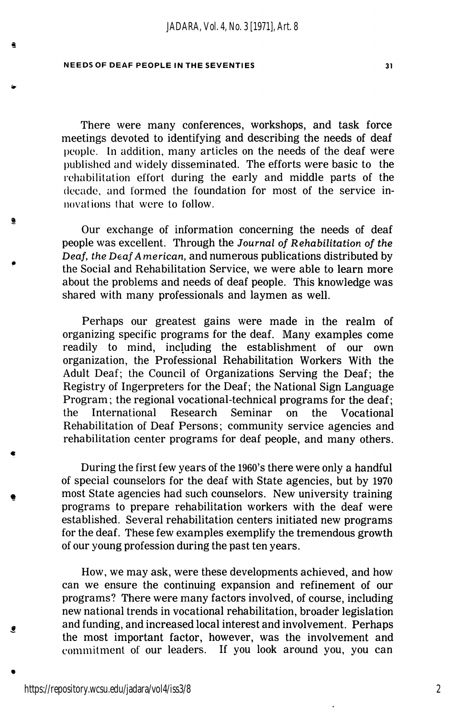e

There were many conferences, workshops, and task force meetings devoted to identifying and describing the needs of deaf people. In addition, many articles on the needs of the deaf were published and widely disseminated. The efforts were basic to the rehabilitation effort during the early and middle parts of the decade, and formed the foundation for most of the service in novations that were to follow.

Our exchange of information concerning the needs of deaf people was excellent. Through the Journal of Rehabilitation of the Deaf, the Deaf American, and numerous publications distributed by the Social and Rehabilitation Service, we were able to learn more about the problems and needs of deaf people. This knowledge was shared with many professionals and laymen as well.

Perhaps our greatest gains were made in the realm of organizing specific programs for the deaf. Many examples come readily to mind, including the establishment of our own organization, the Professional Rehabilitation Workers With the Adult Deaf; the Council of Organizations Serving the Deaf; the Registry of Ingerpreters for the Deaf; the National Sign Language Program; the regional vocational-technical programs for the deaf; the International Research Seminar on the Vocational Rehabilitation of Deaf Persons; community service agencies and rehabilitation center programs for deaf people, and many others.

During the first few years of the 1960's there were only a handful of special counselors for the deaf with State agencies, but by 1970 most State agencies had such counselors. New university training programs to prepare rehabilitation workers with the deaf were established. Several rehabilitation centers initiated new programs for the deaf. These few examples exemplify the tremendous growth of our young profession during the past ten years.

How, we may ask, were these developments achieved, and how can we ensure the continuing expansion and refinement of our programs? There were many factors involved, of course, including new national trends in vocational rehabilitation, broader legislation and funding, and increased local interest and involvement. Perhaps the most important factor, however, was the involvement and commitment of our leaders. If you look around you, you can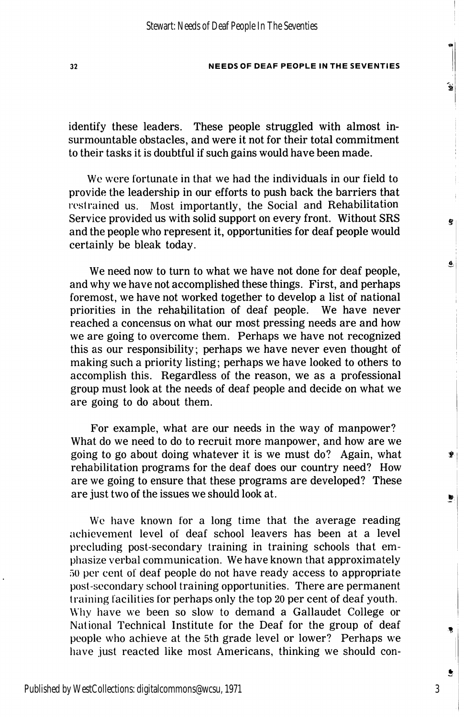identify these leaders. These people struggled with almost in surmountable obstacles, and were it not for their total commitment to their tasks it is doubtful if such gains would have been made.

We were fortunate in that we had the individuals in our field to provide the leadership in our efforts to push back the barriers that restrained us. Most importantly, the Social and Rehabilitation Service provided us with solid support on every front. Without SRS and the people who represent it, opportunities for deaf people would certainly be bleak today.

We need now to turn to what we have not done for deaf people, and why we have not accomplished these things. First, and perhaps foremost, we have not worked together to develop a list of national priorities in the rehabilitation of deaf people. We have never reached a concensus on what our most pressing needs are and how we are going to overcome them. Perhaps we have not recognized this as our responsibility; perhaps we have never even thought of making such a priority listing; perhaps we have looked to others to accomplish this. Regardless of the reason, we as a professional group must look at the needs of deaf people and decide on what we are going to do about them.

For example, what are our needs in the way of manpower? What do we need to do to recruit more manpower, and how are we going to go about doing whatever it is we must do? Again, what rehabilitation programs for the deaf does our country need? How are we going to ensure that these programs are developed? These are just two of the issues we should look at.

We have known for a long time that the average reading achievement level of deaf school leavers has been at a level precluding post-secondary training in training schools that em phasize verbal communication. We have known that approximately 50 per cent of deaf people do not have ready access to appropriate post-secondary school training opportunities. There are permanent training facilities for perhaps only the top 20 per cent of deaf youth. Why have we been so slow to demand a Gallaudet College or National Technical Institute for the Deaf for the group of deaf people who achieve at the 5th grade level or lower? Perhaps we have just reacted like most Americans, thinking we should con-

3

۹

é

Ĝ.

Ö,

Þ

Ù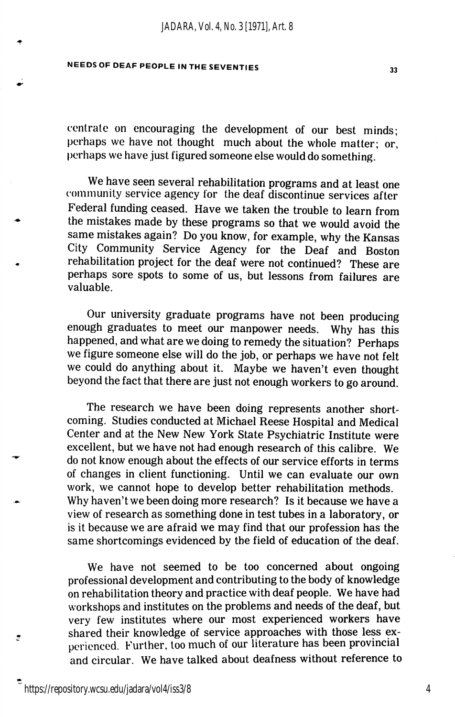centrate on encouraging the development of our best minds; perhaps we have not thought much about the whole matter; or, perhaps we have just figured someone else would do something.

We have seen several rehabilitation programs and at least one community service agency for the deaf discontinue services after Federal funding ceased. Have we taken the trouble to learn from the mistakes made by these programs so that we would avoid the same mistakes again? Do you know, for example, why the Kansas City Community Service Agency for the Deaf and Boston rehabilitation project for the deaf were not continued? These are perhaps sore spots to some of us, but lessons from failures are valuable.

Our university graduate programs have not been producing enough graduates to meet our manpower needs. Why has this happened, and what are we doing to remedy the situation? Perhaps we figure someone else will do the job, or perhaps we have not felt we could do anything about it. Maybe we haven't even thought beyond the fact that there are just not enough workers to go around.

The research we have been doing represents another short coming. Studies conducted at Michael Reese Hospital and Medical Center and at the New New York State Psychiatric Institute were excellent, but we have not had enough research of this calibre. We do not know enough about the effects of our service efforts in terms of changes in client functioning. Until we can evaluate our own work, we cannot hope to develop better rehabilitation methods. Why haven't we been doing more research? Is it because we have a view of research as something done in test tubes in a laboratory, or is it because we are afraid we may find that our profession has the same shortcomings evidenced by the field of education of the deaf.

We have not seemed to be too concerned about ongoing professional development and contributing to the body of knowledge on rehabilitation theory and practice with deaf people. We have had workshops and institutes on the problems and needs of the deaf, but very few institutes where our most experienced workers have shared their knowledge of service approaches with those less ex perienced. Further, too much of our literature has been provincial and circular. We have talked about deafness without reference to

đ.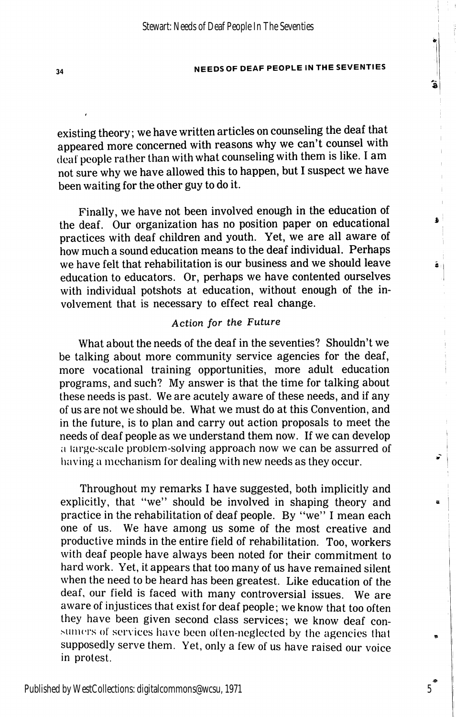existing theory; we have written articles on counseling the deaf that appeared more concerned with reasons why we can't counsel with (leal people rather than with what counseling with them is like. I am not sure why we have allowed this to happen, but I suspect we have been waiting for the other guy to do it.

Finally, we have not been involved enough in the education of the deaf. Our organization has no position paper on educational practices with deaf children and youth. Yet, we are all aware of how much a sound education means to the deaf individual. Perhaps we have felt that rehabilitation is our business and we should leave education to educators. Or, perhaps we have contented ourselves with individual potshots at education, without enough of the in volvement that is necessary to effect real change.

## Action for the Future

What about the needs of the deaf in the seventies? Shouldn't we be talking about more community service agencies for the deaf, more vocational training opportunities, more adult education programs, and such? My answer is that the time for talking about these needs is past. We are acutely aware of these needs, and if any of us are not we should be. What we must do at this Convention, and in the future, is to plan and carry out action proposals to meet the needs of deaf people as we understand them now. If we can develop a large-scale problem-solving approach now we can be assurred of having a mechanism lor dealing with new needs as they occur.

Throughout my remarks I have suggested, both implicitly and explicitly, that "we" should be involved in shaping theory and practice in the rehabilitation of deaf people. By "we" I mean each one of us. We have among us some of the most creative and productive minds in the entire field of rehabilitation. Too, workers with deaf people have always been noted for their commitment to hard work. Yet, it appears that too many of us have remained silent when the need to be heard has been greatest. Like education of the deaf, our field is faced with many controversial issues. We are aware of injustices that exist for deaf people; we know that too often they have been given second class services; we know deaf con sumers of services have been often-neglected by the agencies that supposedly serve them. Yet, only a few of us have raised our voice in protest.

5

ã

 $\ddot{\phantom{a}}$ 

â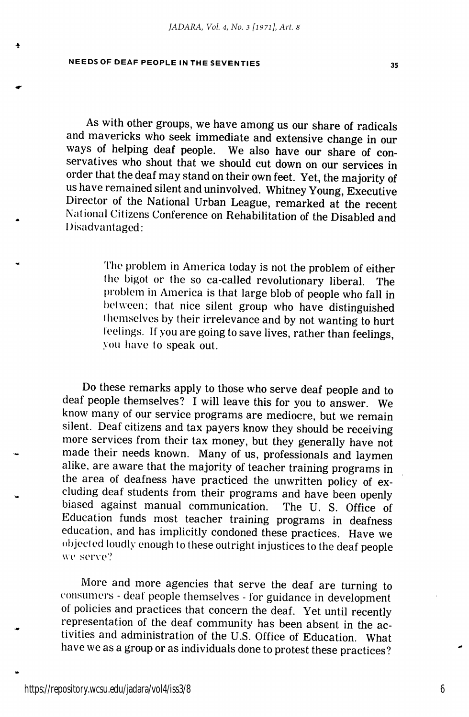As with other groups, we have among us our share of radicals and mavericks who seek immediate and extensive change in our ways of helping deaf people. We also have our share of con servatives who shout that we should cut down on our services in order that the deaf may stand on their own feet. Yet, the majority of us have remained silent and uninvolved. Whitney Young, Executive Director of the National Urban League, remarked at the recent National Citizens Conference on Rehabilitation of the Disabled and Disadvantaged:

> The problem in America today is not the problem of either the bigot or the so ca-called revolutionary liberal. The problem in America is that large blob of people who fall in between; that nice silent group who have distinguished themselves by their irrelevance and by not wanting to hurt teelings. If you are going to save lives, rather than feelings, you have to speak out.

Do these remarks apply to those who serve deaf people and to deaf people themselves? I will leave this for you to answer. We know many of our service programs are mediocre, but we remain silent. Deaf citizens and tax payers know they should be receiving more services from their tax money, but they generally have not made their needs known. Many of us, professionals and laymen alike, are aware that the majority of teacher training programs in the area of deafness have practiced the unwritten policy of ex cluding deaf students from their programs and have been openly biased against manual communication. The U. S. Office of Education funds most teacher training programs in deafness education, and has implicitly condoned these practices. Have we objected loudly enough to these outright injustices to the deaf people wc serve?

More and more agencies that serve the deaf are turning to consumers - deal people themselves - for guidance in development of policies and practices that concern the deaf. Yet until recently representation of the deaf community has been absent in the ac tivities and administration of the U.S. Office of Education. What have we as a group or as individuals done to protest these practices?

6